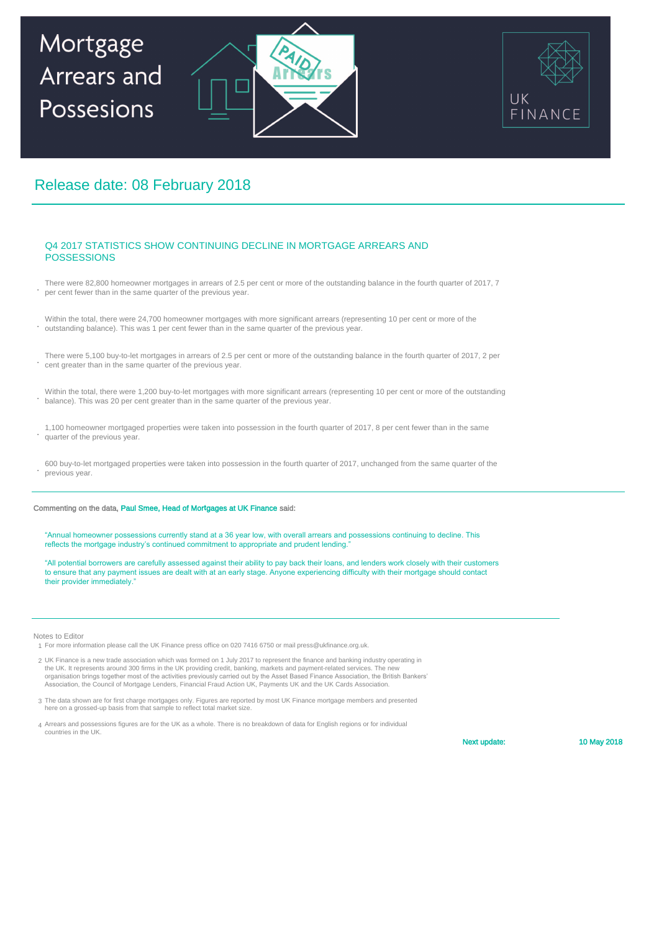## Mortgage Arrears and Possesions





### Release date: 08 February 2018

#### Q4 2017 STATISTICS SHOW CONTINUING DECLINE IN MORTGAGE ARREARS AND POSSESSIONS

- **.** There were 82,800 homeowner mortgages in arrears of 2.5 per cent or more of the outstanding balance in the fourth quarter of 2017, 7 per cent fewer than in the same quarter of the previous year.
- **.** Within the total, there were 24,700 homeowner mortgages with more significant arrears (representing 10 per cent or more of the outstanding balance). This was 1 per cent fewer than in the same quarter of the previous year.
- **.** There were 5,100 buy-to-let mortgages in arrears of 2.5 per cent or more of the outstanding balance in the fourth quarter of 2017, 2 per cent greater than in the same quarter of the previous year.
- **.** Within the total, there were 1,200 buy-to-let mortgages with more significant arrears (representing 10 per cent or more of the outstanding balance). This was 20 per cent greater than in the same quarter of the previous year.
- **.** 1,100 homeowner mortgaged properties were taken into possession in the fourth quarter of 2017, 8 per cent fewer than in the same quarter of the previous year.
- **.** 600 buy-to-let mortgaged properties were taken into possession in the fourth quarter of 2017, unchanged from the same quarter of the previous year.

#### Commenting on the data, Paul Smee, Head of Mor**t**gages at UK Finance said:

"Annual homeowner possessions currently stand at a 36 year low, with overall arrears and possessions continuing to decline. This reflects the mortgage industry's continued commitment to appropriate and prudent lending."

"All potential borrowers are carefully assessed against their ability to pay back their loans, and lenders work closely with their customers to ensure that any payment issues are dealt with at an early stage. Anyone experiencing difficulty with their mortgage should contact their provider immediately.

Notes to Editor

- 1 For more information please call the UK Finance press office on 020 7416 6750 or mail press@ukfinance.org.uk.
- 2 UK Finance is a new trade association which was formed on 1 July 2017 to represent the finance and banking industry operating in the UK. It represents around 300 firms in the UK providing credit, banking, markets and payment-related services. The new<br>organisation brings together most of the activities previously carried out by the Asset Based Financ
- 3 The data shown are for first charge mortgages only. Figures are reported by most UK Finance mortgage members and presented here on a grossed-up basis from that sample to reflect total market size.
- 4 Arrears and possessions figures are for the UK as a whole. There is no breakdown of data for English regions or for individual countries in the UK.

Next update:

10 May 2018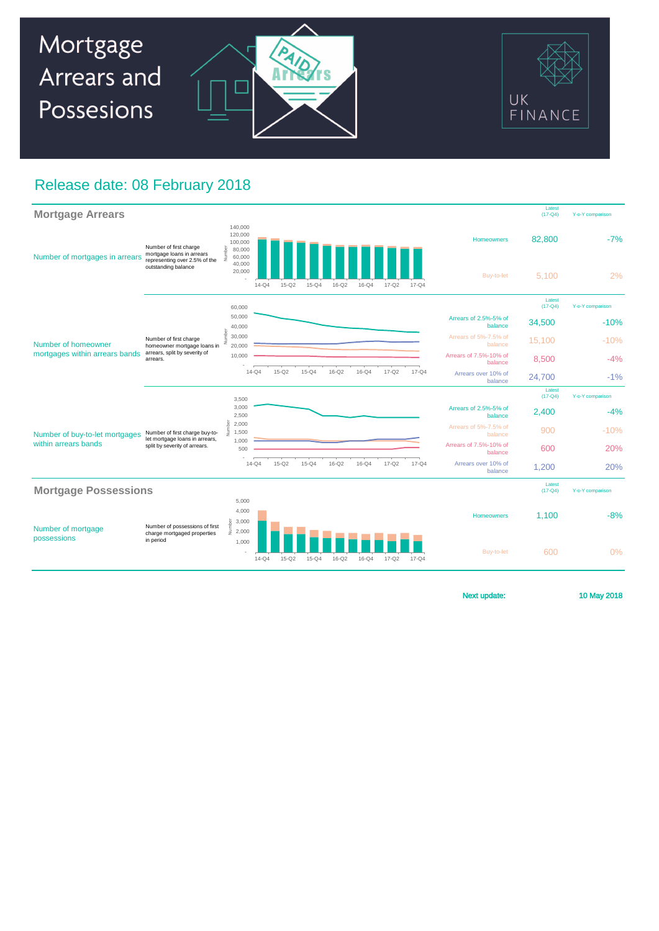

### Release date: 08 February 2018

| <b>Mortgage Arrears</b>                                |                                                                                                             |                                                                       |           |           |           |           |           |                       |                  |                                   | Latest<br>$(17 - Q4)$ | Y-o-Y comparison |
|--------------------------------------------------------|-------------------------------------------------------------------------------------------------------------|-----------------------------------------------------------------------|-----------|-----------|-----------|-----------|-----------|-----------------------|------------------|-----------------------------------|-----------------------|------------------|
| Number of mortgages in arrears                         | Number of first charge<br>mortgage loans in arrears<br>representing over 2.5% of the<br>outstanding balance | 140,000<br>120,000<br>100,000<br>Number<br>80,000<br>60,000<br>40,000 |           |           |           |           |           |                       |                  | <b>Homeowners</b>                 | 82,800                | $-7%$            |
|                                                        |                                                                                                             | 20,000                                                                | $14 - Q4$ | $15 - Q2$ | $15 - Q4$ | 16-Q2     | $16 - Q4$ | $17 - Q2$             | $17 - Q4$        | Buy-to-let                        | 5.100                 | 2%               |
| Number of homeowner<br>mortgages within arrears bands  | Number of first charge<br>homeowner mortgage loans in<br>arrears, split by severity of<br>arrears.          | 60,000                                                                |           |           |           |           |           |                       |                  |                                   | Latest<br>$(17 - Q4)$ | Y-o-Y comparison |
|                                                        |                                                                                                             | 50,000<br>40,000                                                      |           |           |           |           |           |                       |                  | Arrears of 2.5%-5% of<br>balance  | 34,500                | $-10%$           |
|                                                        |                                                                                                             | Vumber<br>30,000<br>20,000                                            |           |           |           |           |           |                       |                  | Arrears of 5%-7.5% of<br>balance  | 15,100                | $-10%$           |
|                                                        |                                                                                                             | 10,000                                                                |           |           |           |           |           |                       |                  | Arrears of 7.5%-10% of<br>balance | 8,500                 | $-4%$            |
|                                                        |                                                                                                             |                                                                       | $14 - Q4$ | $15-Q2$   | $15-Q4$   | $16-Q2$   | $16 - Q4$ | $17 - Q2$             | $17 - Q4$        | Arrears over 10% of<br>balance    | 24,700                | $-1%$            |
|                                                        |                                                                                                             | 3,500                                                                 |           |           |           |           |           |                       |                  |                                   | Latest<br>$(17 - Q4)$ | Y-o-Y comparison |
| Number of buy-to-let mortgages<br>within arrears bands | Number of first charge buy-to-<br>let mortgage loans in arrears,<br>split by severity of arrears.           | 3,000<br>2,500                                                        |           |           |           |           |           |                       |                  | Arrears of 2.5%-5% of<br>balance  | 2,400                 | $-4%$            |
|                                                        |                                                                                                             | 2,000<br>Ę<br>1,500                                                   |           |           |           |           |           |                       |                  | Arrears of 5%-7.5% of<br>balance  | 900                   | $-10%$           |
|                                                        |                                                                                                             | 1.000<br>500                                                          |           |           |           |           |           |                       |                  | Arrears of 7.5%-10% of<br>balance | 600                   | 20%              |
|                                                        |                                                                                                             |                                                                       | $14 - Q4$ | $15 - Q2$ | $15-Q4$   | $16-Q2$   | $16 - Q4$ | $17 - Q2$             | $17 - Q4$        | Arrears over 10% of<br>balance    | 1,200                 | 20%              |
| <b>Mortgage Possessions</b>                            |                                                                                                             |                                                                       |           |           |           |           |           | Latest<br>$(17 - Q4)$ | Y-o-Y comparison |                                   |                       |                  |
| Number of mortgage<br>possessions                      | Number of possessions of first<br>charge mortgaged properties<br>in period                                  | 5,000<br>4,000<br>Number<br>3,000                                     |           |           |           |           |           |                       |                  | <b>Homeowners</b>                 | 1.100                 | $-8%$            |
|                                                        |                                                                                                             | 2,000<br>1,000                                                        | $14 - Q4$ | $15 - Q2$ | $15 - Q4$ | $16 - Q2$ | $16 - Q4$ | $17 - Q2$             | $17 - Q4$        | Buy-to-let                        | 600                   | 0%               |

Next update:

10 May 2018